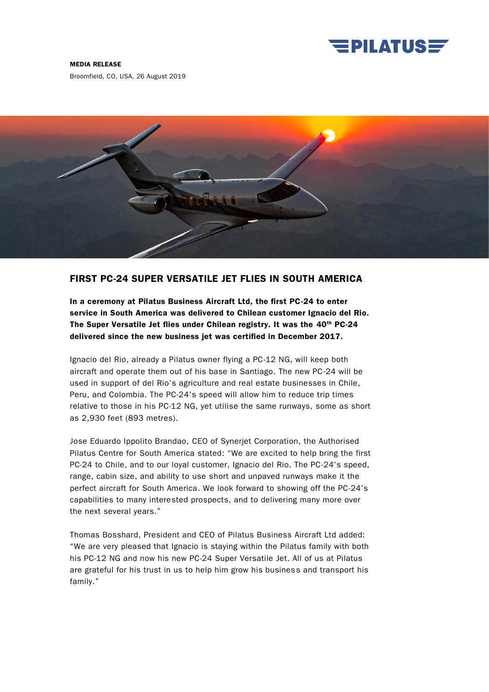

## MEDIA RELEASE

Broomfield, CO, USA, 26 August 2019



## FIRST PC-24 SUPER VERSATILE JET FLIES IN SOUTH AMERICA

In a ceremony at Pilatus Business Aircraft Ltd, the first PC-24 to enter service in South America was delivered to Chilean customer Ignacio del Rio. The Super Versatile Jet flies under Chilean registry. It was the 40th PC-24 delivered since the new business jet was certified in December 2017.

Ignacio del Rio, already a Pilatus owner flying a PC-12 NG, will keep both aircraft and operate them out of his base in Santiago. The new PC-24 will be used in support of del Rio's agriculture and real estate businesses in Chile, Peru, and Colombia. The PC-24's speed will allow him to reduce trip times relative to those in his PC-12 NG, yet utilise the same runways, some as short as 2,930 feet (893 metres).

Jose Eduardo Ippolito Brandao, CEO of Synerjet Corporation, the Authorised Pilatus Centre for South America stated: "We are excited to help bring the first PC-24 to Chile, and to our loyal customer, Ignacio del Rio. The PC-24's speed, range, cabin size, and ability to use short and unpaved runways make it the perfect aircraft for South America. We look forward to showing off the PC-24's capabilities to many interested prospects, and to delivering many more over the next several years."

Thomas Bosshard, President and CEO of Pilatus Business Aircraft Ltd added: "We are very pleased that Ignacio is staying within the Pilatus family with both his PC-12 NG and now his new PC-24 Super Versatile Jet. All of us at Pilatus are grateful for his trust in us to help him grow his business and transport his family."